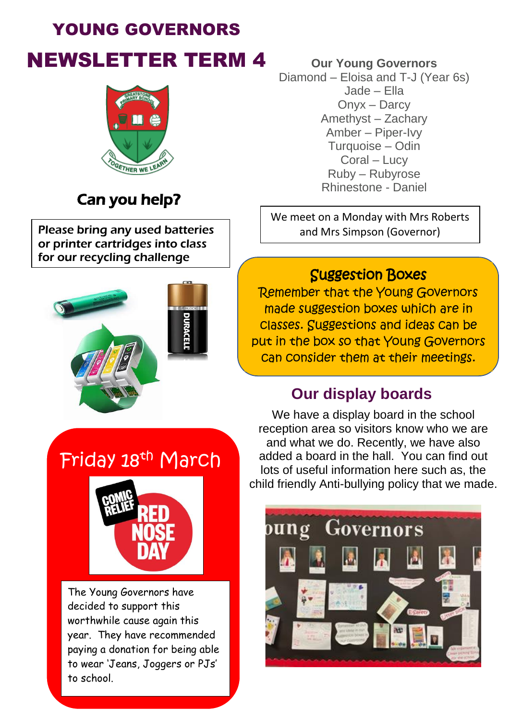# YOUNG GOVERNORS NEWSLETTER TERM 4 **Our Young Governors**



## Can you help?

Please bring any used batteries or printer cartridges into class for our recycling challenge



Diamond – Eloisa and T-J (Year 6s) Jade – Ella Onyx – Darcy Amethyst – Zachary Amber – Piper-Ivy Turquoise – Odin Coral – Lucy Ruby – Rubyrose Rhinestone - Daniel

We meet on a Monday with Mrs Roberts and Mrs Simpson (Governor)

### Suggestion Boxes

Remember that the Young Governors made suggestion boxes which are in classes. Suggestions and ideas can be put in the box so that Young Governors can consider them at their meetings.

### **Our display boards**

Friday 18th March



The Young Governors have decided to support this worthwhile cause again this year. They have recommended paying a donation for being able to wear 'Jeans, Joggers or PJs' to school.

We have a display board in the school reception area so visitors know who we are and what we do. Recently, we have also added a board in the hall. You can find out lots of useful information here such as, the child friendly Anti-bullying policy that we made.